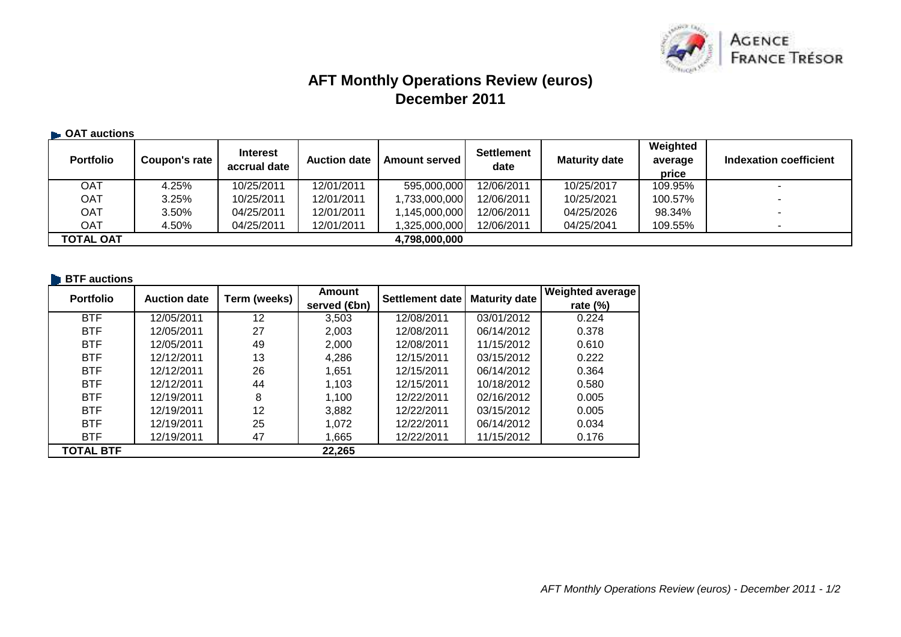

# **AFT Monthly Operations Review (euros)December 2011**

### **OAT auctions**

| <b>Portfolio</b> | Coupon's rate | <b>Interest</b><br>accrual date | <b>Auction date</b> | Amount served I | <b>Settlement</b><br>date | <b>Maturity date</b> | Weighted<br>average<br>price | Indexation coefficient   |
|------------------|---------------|---------------------------------|---------------------|-----------------|---------------------------|----------------------|------------------------------|--------------------------|
| OAT              | 4.25%         | 10/25/2011                      | 12/01/2011          | 595,000,000     | 12/06/2011                | 10/25/2017           | 109.95%                      |                          |
| <b>OAT</b>       | 3.25%         | 10/25/2011                      | 12/01/2011          | 1,733,000,000   | 12/06/2011                | 10/25/2021           | 100.57%                      |                          |
| <b>OAT</b>       | 3.50%         | 04/25/2011                      | 12/01/2011          | 1,145,000,000   | 12/06/2011                | 04/25/2026           | 98.34%                       | $\overline{\phantom{a}}$ |
| OAT              | 4.50%         | 04/25/2011                      | 12/01/2011          | 1,325,000,000   | 12/06/2011                | 04/25/2041           | 109.55%                      |                          |
| <b>TOTAL OAT</b> |               |                                 |                     | 4,798,000,000   |                           |                      |                              |                          |

# **BTF** auctions

| <b>Portfolio</b> | <b>Auction date</b> | Term (weeks) | Amount       | Settlement date | <b>Maturity date</b> | <b>Weighted average</b> |
|------------------|---------------------|--------------|--------------|-----------------|----------------------|-------------------------|
|                  |                     |              | served (€bn) |                 |                      | rate $(\%)$             |
| <b>BTF</b>       | 12/05/2011          | 12           | 3,503        | 12/08/2011      | 03/01/2012           | 0.224                   |
| <b>BTF</b>       | 12/05/2011          | 27           | 2,003        | 12/08/2011      | 06/14/2012           | 0.378                   |
| <b>BTF</b>       | 12/05/2011          | 49           | 2,000        | 12/08/2011      | 11/15/2012           | 0.610                   |
| <b>BTF</b>       | 12/12/2011          | 13           | 4,286        | 12/15/2011      | 03/15/2012           | 0.222                   |
| <b>BTF</b>       | 12/12/2011          | 26           | 1,651        | 12/15/2011      | 06/14/2012           | 0.364                   |
| <b>BTF</b>       | 12/12/2011          | 44           | 1,103        | 12/15/2011      | 10/18/2012           | 0.580                   |
| <b>BTF</b>       | 12/19/2011          | 8            | 1,100        | 12/22/2011      | 02/16/2012           | 0.005                   |
| <b>BTF</b>       | 12/19/2011          | 12           | 3,882        | 12/22/2011      | 03/15/2012           | 0.005                   |
| <b>BTF</b>       | 12/19/2011          | 25           | 1,072        | 12/22/2011      | 06/14/2012           | 0.034                   |
| <b>BTF</b>       | 12/19/2011          | 47           | 1,665        | 12/22/2011      | 11/15/2012           | 0.176                   |
| <b>TOTAL BTF</b> |                     |              | 22,265       |                 |                      |                         |